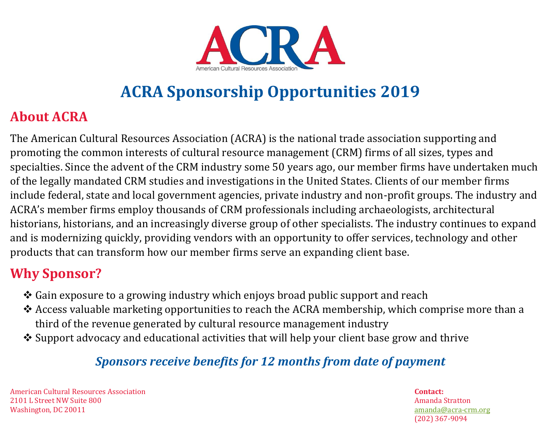

# **ACRA Sponsorship Opportunities 2019**

## **About ACRA**

The American Cultural Resources Association (ACRA) is the national trade association supporting and promoting the common interests of cultural resource management (CRM) firms of all sizes, types and specialties. Since the advent of the CRM industry some 50 years ago, our member firms have undertaken much of the legally mandated CRM studies and investigations in the United States. Clients of our member firms include federal, state and local government agencies, private industry and non-profit groups. The industry and ACRA's member firms employ thousands of CRM professionals including archaeologists, architectural historians, historians, and an increasingly diverse group of other specialists. The industry continues to expand and is modernizing quickly, providing vendors with an opportunity to offer services, technology and other products that can transform how our member firms serve an expanding client base.

### **Why Sponsor?**

- ❖ Gain exposure to a growing industry which enjoys broad public support and reach
- ❖ Access valuable marketing opportunities to reach the ACRA membership, which comprise more than a third of the revenue generated by cultural resource management industry
- ❖ Support advocacy and educational activities that will help your client base grow and thrive

#### *Sponsors receive benefits for 12 months from date of payment*

American Cultural Resources Association **Contact:** 2101 L Street NW Suite 800 Amanda Stratton Washington, DC 20011 [amanda@acra-crm.org](mailto:amanda@acra-crm.org)

(202) 367-9094